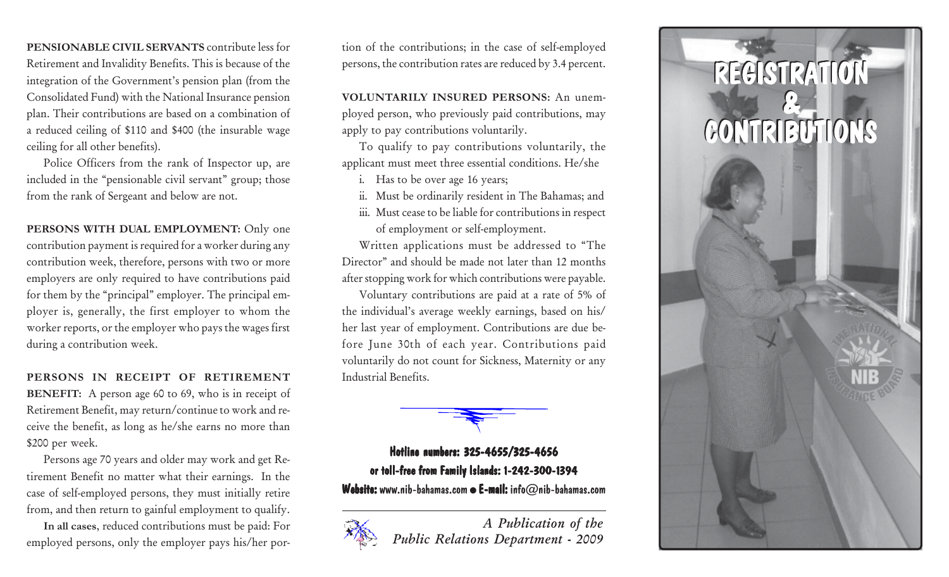**PENSIONABLE CIVIL SERVANTS** contribute less for Retirement and Invalidity Benefits. This is because of the integration of the Government's pension plan (from the Consolidated Fund) with the National Insurance pension <sup>p</sup>lan. Their contributions are based on a combination of a reduced ceiling of \$110 and \$400 (the insurable wage ceiling for all other benefits).

Police Officers from the rank of Inspector up, are included in the "pensionable civil servant" group; those from the rank of Sergeant and below are not.

PERSONS WITH DUAL EMPLOYMENT: Only one contribution payment is required for a worker during any contribution week, therefore, persons with two or more employers are only required to have contributions paid for them by the "principal" employer. The principal em<sup>p</sup>loyer is, generally, the first employer to whom the worker reports, or the employer who pays the wages first during a contribution week.

**PERSONS IN RECEIPT OF RETIREMENT BENEFIT:** A person age 60 to 69, who is in receipt of Retirement Benefit, may return/continue to work and receive the benefit, as long as he/she earns no more than \$200 per week.

Persons age 70 years and older may work and get Retirement Benefit no matter what their earnings. In the case of self-employed persons, they must initially retire from, and then return to gainful employment to qualify.

**In all cases**, reduced contributions must be paid: For employed persons, only the employer pays his/her portion of the contributions; in the case of self-employed persons, the contribution rates are reduced by 3.4 percent.

**VOLUNTARILY INSURED PERSONS:** An unem<sup>p</sup>loyed person, who previously paid contributions, may apply to pay contributions voluntarily.

To qualify to pay contributions voluntarily, the applicant must meet three essential conditions. He/she

- i. Has to be over age 16 years;
- ii. Must be ordinarily resident in The Bahamas; and
- iii. Must cease to be liable for contributions in respect of employment or self-employment.

Written applications must be addressed to "The Director" and should be made not later than 12 months after stopping work for which contributions were payable.

Voluntary contributions are paid at a rate of 5% of the individual's average weekly earnings, based on his/ her last year of employment. Contributions are due before June 30th of each year. Contributions paid voluntarily do not count for Sickness, Maternity or any Industrial Benefits.



## Hotline numbers: 325-4655/325-4656 or toll-free from Family Islands: 1-242-300-1394 Website: www.nib-bahamas.com  $\bullet$  E-mail: info $\oslash$ nib-bahamas.com

*A Publication of the Public Relations Department - 2009*